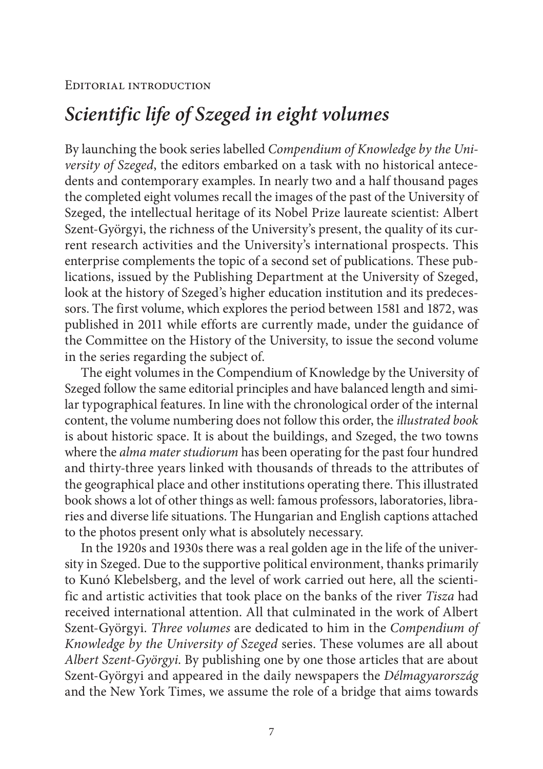## *Scientific life of Szeged in eight volumes*

By launching the book series labelled *Compendium of Knowledge by the University of Szeged*, the editors embarked on a task with no historical antecedents and contemporary examples. In nearly two and a half thousand pages the completed eight volumes recall the images of the past of the University of Szeged, the intellectual heritage of its Nobel Prize laureate scientist: Albert Szent-Györgyi, the richness of the University's present, the quality of its current research activities and the University's international prospects. This enterprise complements the topic of a second set of publications. These publications, issued by the Publishing Department at the University of Szeged, look at the history of Szeged's higher education institution and its predecessors. The first volume, which explores the period between 1581 and 1872, was published in 2011 while efforts are currently made, under the guidance of the Committee on the History of the University, to issue the second volume in the series regarding the subject of.

The eight volumes in the Compendium of Knowledge by the University of Szeged follow the same editorial principles and have balanced length and similar typographical features. In line with the chronological order of the internal content, the volume numbering does not follow this order, the *illustrated book* is about historic space. It is about the buildings, and Szeged, the two towns where the *alma mater studiorum* has been operating for the past four hundred and thirty-three years linked with thousands of threads to the attributes of the geographical place and other institutions operating there. This illustrated book shows a lot of other things as well: famous professors, laboratories, libraries and diverse life situations. The Hungarian and English captions attached to the photos present only what is absolutely necessary.

In the 1920s and 1930s there was a real golden age in the life of the university in Szeged. Due to the supportive political environment, thanks primarily to Kunó Klebelsberg, and the level of work carried out here, all the scientific and artistic activities that took place on the banks of the river *Tisza* had received international attention. All that culminated in the work of Albert Szent-Györgyi. *Three volumes* are dedicated to him in the *Compendium of Knowledge by the University of Szeged* series. These volumes are all about *Albert Szent-Györgyi*. By publishing one by one those articles that are about Szent-Györgyi and appeared in the daily newspapers the *Délmagyarország* and the New York Times, we assume the role of a bridge that aims towards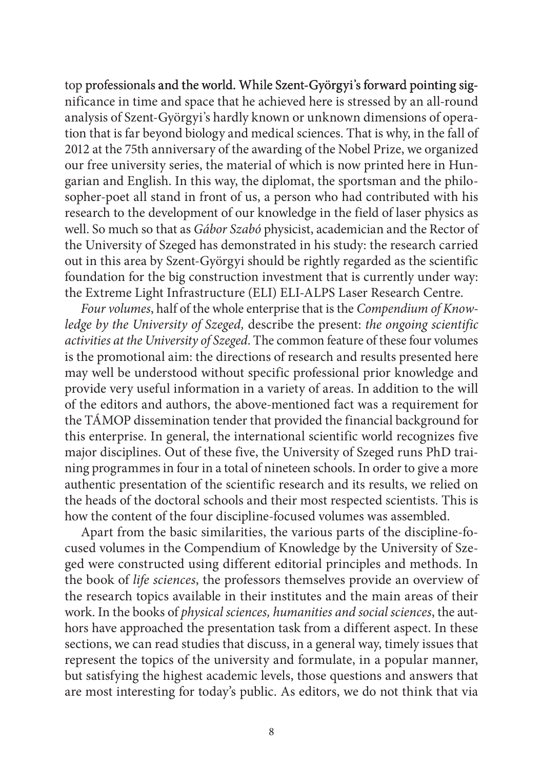top professionals and the world. While Szent-Györgyi's forward pointing significance in time and space that he achieved here is stressed by an all-round analysis of Szent-Györgyi's hardly known or unknown dimensions of operation that is far beyond biology and medical sciences. That is why, in the fall of 2012 at the 75th anniversary of the awarding of the Nobel Prize, we organized our free university series, the material of which is now printed here in Hungarian and English. In this way, the diplomat, the sportsman and the philosopher-poet all stand in front of us, a person who had contributed with his research to the development of our knowledge in the field of laser physics as well. So much so that as *Gábor Szabó* physicist, academician and the Rector of the University of Szeged has demonstrated in his study: the research carried out in this area by Szent-Györgyi should be rightly regarded as the scientific foundation for the big construction investment that is currently under way: the Extreme Light Infrastructure (ELI) ELI-ALPS Laser Research Centre.

*Four volumes*, half of the whole enterprise that is the *Compendium of Knowledge by the University of Szeged,* describe the present: *the ongoing scientific activities at the University of Szeged*. The common feature of these four volumes is the promotional aim: the directions of research and results presented here may well be understood without specific professional prior knowledge and provide very useful information in a variety of areas. In addition to the will of the editors and authors, the above-mentioned fact was a requirement for the TÁMOP dissemination tender that provided the financial background for this enterprise. In general, the international scientific world recognizes five major disciplines. Out of these five, the University of Szeged runs PhD training programmes in four in a total of nineteen schools. In order to give a more authentic presentation of the scientific research and its results, we relied on the heads of the doctoral schools and their most respected scientists. This is how the content of the four discipline-focused volumes was assembled.

Apart from the basic similarities, the various parts of the discipline-focused volumes in the Compendium of Knowledge by the University of Szeged were constructed using different editorial principles and methods. In the book of *life sciences*, the professors themselves provide an overview of the research topics available in their institutes and the main areas of their work. In the books of *physical sciences, humanities and social sciences*, the authors have approached the presentation task from a different aspect. In these sections, we can read studies that discuss, in a general way, timely issues that represent the topics of the university and formulate, in a popular manner, but satisfying the highest academic levels, those questions and answers that are most interesting for today's public. As editors, we do not think that via